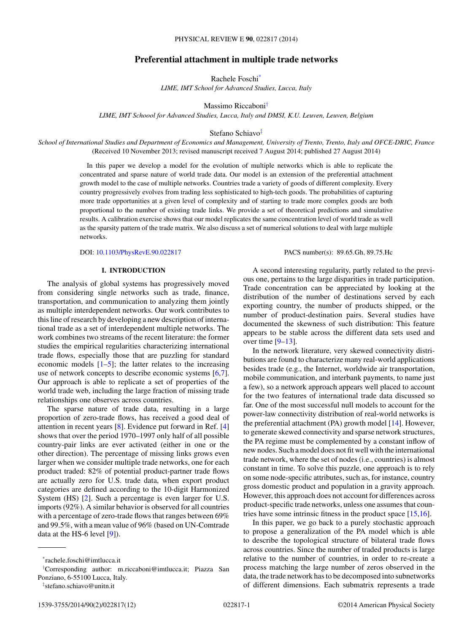# **Preferential attachment in multiple trade networks**

Rachele Foschi\*

*LIME, IMT School for Advanced Studies, Lucca, Italy*

Massimo Riccaboni†

*LIME, IMT Schoool for Advanced Studies, Lucca, Italy and DMSI, K.U. Leuven, Leuven, Belgium*

Stefano Schiavo‡

*School of International Studies and Department of Economics and Management, University of Trento, Trento, Italy and OFCE-DRIC, France* (Received 10 November 2013; revised manuscript received 7 August 2014; published 27 August 2014)

> In this paper we develop a model for the evolution of multiple networks which is able to replicate the concentrated and sparse nature of world trade data. Our model is an extension of the preferential attachment growth model to the case of multiple networks. Countries trade a variety of goods of different complexity. Every country progressively evolves from trading less sophisticated to high-tech goods. The probabilities of capturing more trade opportunities at a given level of complexity and of starting to trade more complex goods are both proportional to the number of existing trade links. We provide a set of theoretical predictions and simulative results. A calibration exercise shows that our model replicates the same concentration level of world trade as well as the sparsity pattern of the trade matrix. We also discuss a set of numerical solutions to deal with large multiple networks.

DOI: [10.1103/PhysRevE.90.022817](http://dx.doi.org/10.1103/PhysRevE.90.022817) PACS number(s): 89*.*65*.*Gh*,* 89*.*75*.*Hc

A second interesting regularity, partly related to the previ-

# **I. INTRODUCTION**

The analysis of global systems has progressively moved from considering single networks such as trade, finance, transportation, and communication to analyzing them jointly as multiple interdependent networks. Our work contributes to this line of research by developing a new description of international trade as a set of interdependent multiple networks. The work combines two streams of the recent literature: the former studies the empirical regularities characterizing international trade flows, especially those that are puzzling for standard economic models  $[1-5]$ ; the latter relates to the increasing use of network concepts to describe economic systems [\[6,7\]](#page-11-0). Our approach is able to replicate a set of properties of the world trade web, including the large fraction of missing trade relationships one observes across countries.

The sparse nature of trade data, resulting in a large proportion of zero-trade flows, has received a good deal of attention in recent years [\[8\]](#page-11-0). Evidence put forward in Ref. [\[4\]](#page-11-0) shows that over the period 1970–1997 only half of all possible country-pair links are ever activated (either in one or the other direction). The percentage of missing links grows even larger when we consider multiple trade networks, one for each product traded: 82% of potential product-partner trade flows are actually zero for U.S. trade data, when export product categories are defined according to the 10-digit Harmonized System (HS) [\[2\]](#page-11-0). Such a percentage is even larger for U.S. imports (92%). A similar behavior is observed for all countries with a percentage of zero-trade flows that ranges between 69% and 99.5%, with a mean value of 96% (based on UN-Comtrade data at the HS-6 level [\[9\]](#page-11-0)).

ous one, pertains to the large disparities in trade participation. Trade concentration can be appreciated by looking at the distribution of the number of destinations served by each exporting country, the number of products shipped, or the number of product-destination pairs. Several studies have documented the skewness of such distribution: This feature appears to be stable across the different data sets used and over time  $[9-13]$ .

In the network literature, very skewed connectivity distributions are found to characterize many real-world applications besides trade (e.g., the Internet, worldwide air transportation, mobile communication, and interbank payments, to name just a few), so a network approach appears well placed to account for the two features of international trade data discussed so far. One of the most successful null models to account for the power-law connectivity distribution of real-world networks is the preferential attachment (PA) growth model [\[14\]](#page-11-0). However, to generate skewed connectivity and sparse network structures, the PA regime must be complemented by a constant inflow of new nodes. Such a model does not fit well with the international trade network, where the set of nodes (i.e., countries) is almost constant in time. To solve this puzzle, one approach is to rely on some node-specific attributes, such as, for instance, country gross domestic product and population in a gravity approach. However, this approach does not account for differences across product-specific trade networks, unless one assumes that countries have some intrinsic fitness in the product space [\[15,16\]](#page-11-0).

In this paper, we go back to a purely stochastic approach to propose a generalization of the PA model which is able to describe the topological structure of bilateral trade flows across countries. Since the number of traded products is large relative to the number of countries, in order to re-create a process matching the large number of zeros observed in the data, the trade network has to be decomposed into subnetworks of different dimensions. Each submatrix represents a trade

<sup>\*</sup>rachele.foschi@imtlucca.it

<sup>†</sup> Corresponding author: m.riccaboni@imtlucca.it; Piazza San Ponziano, 6-55100 Lucca, Italy.

<sup>‡</sup> stefano.schiavo@unitn.it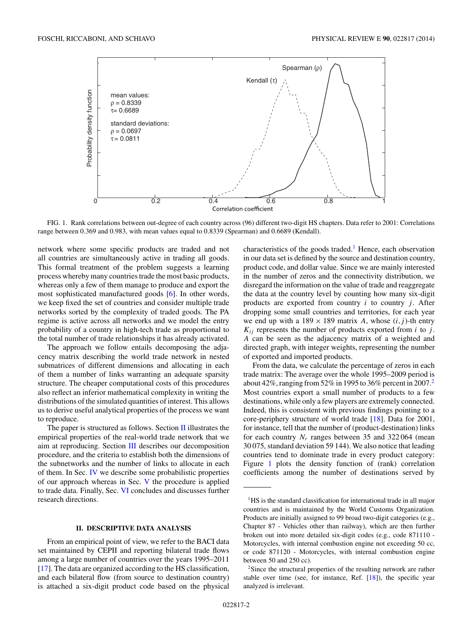<span id="page-1-0"></span>

FIG. 1. Rank correlations between out-degree of each country across (96) different two-digit HS chapters. Data refer to 2001: Correlations range between 0*.*369 and 0*.*983, with mean values equal to 0*.*8339 (Spearman) and 0*.*6689 (Kendall).

network where some specific products are traded and not all countries are simultaneously active in trading all goods. This formal treatment of the problem suggests a learning process whereby many countries trade the most basic products, whereas only a few of them manage to produce and export the most sophisticated manufactured goods [\[6\]](#page-11-0). In other words, we keep fixed the set of countries and consider multiple trade networks sorted by the complexity of traded goods. The PA regime is active across all networks and we model the entry probability of a country in high-tech trade as proportional to the total number of trade relationships it has already activated.

The approach we follow entails decomposing the adjacency matrix describing the world trade network in nested submatrices of different dimensions and allocating in each of them a number of links warranting an adequate sparsity structure. The cheaper computational costs of this procedures also reflect an inferior mathematical complexity in writing the distributions of the simulated quantities of interest. This allows us to derive useful analytical properties of the process we want to reproduce.

The paper is structured as follows. Section  $\Pi$  illustrates the empirical properties of the real-world trade network that we aim at reproducing. Section [III](#page-2-0) describes our decomposition procedure, and the criteria to establish both the dimensions of the subnetworks and the number of links to allocate in each of them. In Sec. [IV](#page-5-0) we describe some probabilistic properties of our approach whereas in Sec. [V](#page-7-0) the procedure is applied to trade data. Finally, Sec. [VI](#page-8-0) concludes and discusses further research directions.

#### **II. DESCRIPTIVE DATA ANALYSIS**

From an empirical point of view, we refer to the BACI data set maintained by CEPII and reporting bilateral trade flows among a large number of countries over the years 1995–2011 [\[17\]](#page-11-0). The data are organized according to the HS classification, and each bilateral flow (from source to destination country) is attached a six-digit product code based on the physical characteristics of the goods traded.<sup>1</sup> Hence, each observation in our data set is defined by the source and destination country, product code, and dollar value. Since we are mainly interested in the number of zeros and the connectivity distribution, we disregard the information on the value of trade and reaggregate the data at the country level by counting how many six-digit products are exported from country  $i$  to country  $j$ . After dropping some small countries and territories, for each year we end up with a  $189 \times 189$  matrix *A*, whose  $(i, j)$ -th entry  $K_{ij}$  represents the number of products exported from *i* to *j*. *A* can be seen as the adjacency matrix of a weighted and directed graph, with integer weights, representing the number of exported and imported products.

From the data, we calculate the percentage of zeros in each trade matrix: The average over the whole 1995–2009 period is about 42%, ranging from 52% in 1995 to 36% percent in 2007.<sup>2</sup> Most countries export a small number of products to a few destinations, while only a few players are extremely connected. Indeed, this is consistent with previous findings pointing to a core-periphery structure of world trade [\[18\]](#page-11-0). Data for 2001, for instance, tell that the number of (product-destination) links for each country  $N_r$  ranges between 35 and 322064 (mean 30 075, standard deviation 59 144). We also notice that leading countries tend to dominate trade in every product category: Figure 1 plots the density function of (rank) correlation coefficients among the number of destinations served by

<sup>&</sup>lt;sup>1</sup>HS is the standard classification for international trade in all major countries and is maintained by the World Customs Organization. Products are initially assigned to 99 broad two-digit categories (e.g., Chapter 87 - Vehicles other than railway), which are then further broken out into more detailed six-digit codes (e.g., code 871110 - Motorcycles, with internal combustion engine not exceeding 50 cc, or code 871120 - Motorcycles, with internal combustion engine between 50 and 250 cc).

<sup>&</sup>lt;sup>2</sup>Since the structural properties of the resulting network are rather stable over time (see, for instance, Ref. [\[18\]](#page-11-0)), the specific year analyzed is irrelevant.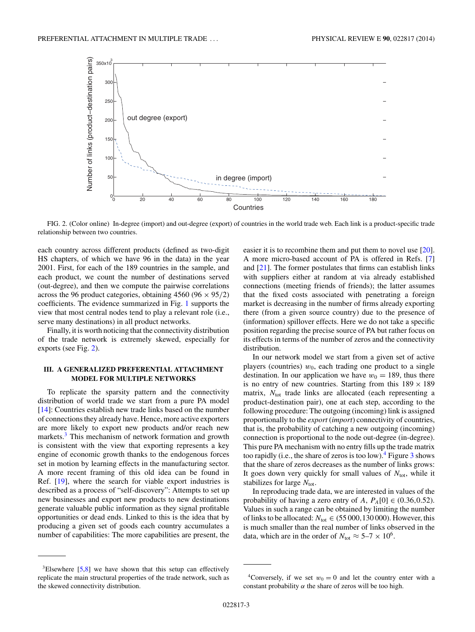<span id="page-2-0"></span>

FIG. 2. (Color online) In-degree (import) and out-degree (export) of countries in the world trade web. Each link is a product-specific trade relationship between two countries.

each country across different products (defined as two-digit HS chapters, of which we have 96 in the data) in the year 2001. First, for each of the 189 countries in the sample, and each product, we count the number of destinations served (out-degree), and then we compute the pairwise correlations across the 96 product categories, obtaining  $4560 (96 \times 95/2)$ coefficients. The evidence summarized in Fig. [1](#page-1-0) supports the view that most central nodes tend to play a relevant role (i.e., serve many destinations) in all product networks.

Finally, it is worth noticing that the connectivity distribution of the trade network is extremely skewed, especially for exports (see Fig. 2).

# **III. A GENERALIZED PREFERENTIAL ATTACHMENT MODEL FOR MULTIPLE NETWORKS**

To replicate the sparsity pattern and the connectivity distribution of world trade we start from a pure PA model [\[14\]](#page-11-0): Countries establish new trade links based on the number of connections they already have. Hence, more active exporters are more likely to export new products and/or reach new markets.<sup>3</sup> This mechanism of network formation and growth is consistent with the view that exporting represents a key engine of economic growth thanks to the endogenous forces set in motion by learning effects in the manufacturing sector. A more recent framing of this old idea can be found in Ref. [\[19\]](#page-11-0), where the search for viable export industries is described as a process of "self-discovery": Attempts to set up new businesses and export new products to new destinations generate valuable public information as they signal profitable opportunities or dead ends. Linked to this is the idea that by producing a given set of goods each country accumulates a number of capabilities: The more capabilities are present, the

easier it is to recombine them and put them to novel use  $[20]$ . A more micro-based account of PA is offered in Refs. [\[7\]](#page-11-0) and [\[21\]](#page-11-0). The former postulates that firms can establish links with suppliers either at random at via already established connections (meeting friends of friends); the latter assumes that the fixed costs associated with penetrating a foreign market is decreasing in the number of firms already exporting there (from a given source country) due to the presence of (information) spillover effects. Here we do not take a specific position regarding the precise source of PA but rather focus on its effects in terms of the number of zeros and the connectivity distribution.

In our network model we start from a given set of active players (countries)  $w_0$ , each trading one product to a single destination. In our application we have  $w_0 = 189$ , thus there is no entry of new countries. Starting from this  $189 \times 189$ matrix,  $N_{\text{tot}}$  trade links are allocated (each representing a product-destination pair), one at each step, according to the following procedure: The outgoing (incoming) link is assigned proportionally to the *export* (*import*) connectivity of countries, that is, the probability of catching a new outgoing (incoming) connection is proportional to the node out-degree (in-degree). This pure PA mechanism with no entry fills up the trade matrix too rapidly (i.e., the share of zeros is too low).<sup>4</sup> Figure [3](#page-3-0) shows that the share of zeros decreases as the number of links grows: It goes down very quickly for small values of  $N_{\text{tot}}$ , while it stabilizes for large  $N_{\text{tot}}$ .

In reproducing trade data, we are interested in values of the probability of having a zero entry of *A*,  $P_A[0] \in (0.36, 0.52)$ . Values in such a range can be obtained by limiting the number of links to be allocated:  $N_{\text{tot}} \in (55000, 130000)$ . However, this is much smaller than the real number of links observed in the data, which are in the order of  $N_{\text{tot}} \approx 5-7 \times 10^6$ .

<sup>&</sup>lt;sup>3</sup>Elsewhere  $[5,8]$  we have shown that this setup can effectively replicate the main structural properties of the trade network, such as the skewed connectivity distribution.

<sup>&</sup>lt;sup>4</sup>Conversely, if we set  $w_0 = 0$  and let the country enter with a constant probability  $\alpha$  the share of zeros will be too high.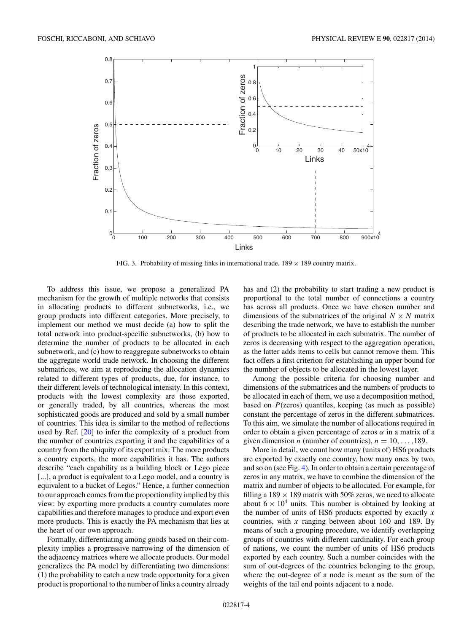<span id="page-3-0"></span>

FIG. 3. Probability of missing links in international trade,  $189 \times 189$  country matrix.

To address this issue, we propose a generalized PA mechanism for the growth of multiple networks that consists in allocating products to different subnetworks, i.e., we group products into different categories. More precisely, to implement our method we must decide (a) how to split the total network into product-specific subnetworks, (b) how to determine the number of products to be allocated in each subnetwork, and (c) how to reaggregate subnetworks to obtain the aggregate world trade network. In choosing the different submatrices, we aim at reproducing the allocation dynamics related to different types of products, due, for instance, to their different levels of technological intensity. In this context, products with the lowest complexity are those exported, or generally traded, by all countries, whereas the most sophisticated goods are produced and sold by a small number of countries. This idea is similar to the method of reflections used by Ref. [\[20\]](#page-11-0) to infer the complexity of a product from the number of countries exporting it and the capabilities of a country from the ubiquity of its export mix: The more products a country exports, the more capabilities it has. The authors describe "each capability as a building block or Lego piece [...], a product is equivalent to a Lego model, and a country is equivalent to a bucket of Legos." Hence, a further connection to our approach comes from the proportionality implied by this view: by exporting more products a country cumulates more capabilities and therefore manages to produce and export even more products. This is exactly the PA mechanism that lies at the heart of our own approach.

Formally, differentiating among goods based on their complexity implies a progressive narrowing of the dimension of the adjacency matrices where we allocate products. Our model generalizes the PA model by differentiating two dimensions: (1) the probability to catch a new trade opportunity for a given product is proportional to the number of links a country already

has and (2) the probability to start trading a new product is proportional to the total number of connections a country has across all products. Once we have chosen number and dimensions of the submatrices of the original  $N \times N$  matrix describing the trade network, we have to establish the number of products to be allocated in each submatrix. The number of zeros is decreasing with respect to the aggregation operation, as the latter adds items to cells but cannot remove them. This fact offers a first criterion for establishing an upper bound for the number of objects to be allocated in the lowest layer.

Among the possible criteria for choosing number and dimensions of the submatrices and the numbers of products to be allocated in each of them, we use a decomposition method, based on *P*(zeros) quantiles, keeping (as much as possible) constant the percentage of zeros in the different submatrices. To this aim, we simulate the number of allocations required in order to obtain a given percentage of zeros *α* in a matrix of a given dimension *n* (number of countries),  $n = 10, \ldots, 189$ .

More in detail, we count how many (units of) HS6 products are exported by exactly one country, how many ones by two, and so on (see Fig. [4\)](#page-4-0). In order to obtain a certain percentage of zeros in any matrix, we have to combine the dimension of the matrix and number of objects to be allocated. For example, for filling a 189  $\times$  189 matrix with 50% zeros, we need to allocate about  $6 \times 10^4$  units. This number is obtained by looking at the number of units of HS6 products exported by exactly *x* countries, with *x* ranging between about 160 and 189. By means of such a grouping procedure, we identify overlapping groups of countries with different cardinality. For each group of nations, we count the number of units of HS6 products exported by each country. Such a number coincides with the sum of out-degrees of the countries belonging to the group, where the out-degree of a node is meant as the sum of the weights of the tail end points adjacent to a node.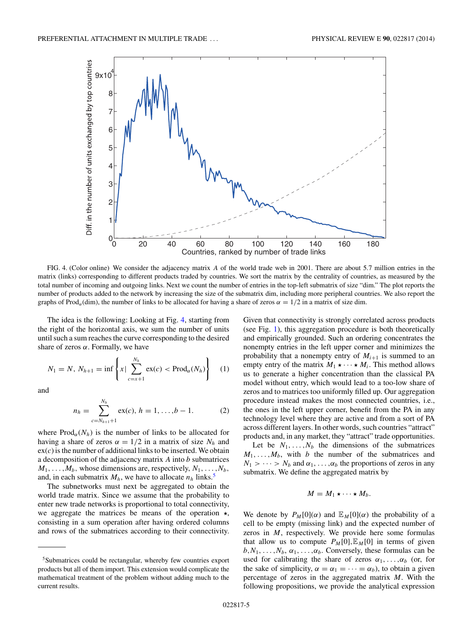<span id="page-4-0"></span>

FIG. 4. (Color online) We consider the adjacency matrix *A* of the world trade web in 2001. There are about 5.7 million entries in the matrix (links) corresponding to different products traded by countries. We sort the matrix by the centrality of countries, as measured by the total number of incoming and outgoing links. Next we count the number of entries in the top-left submatrix of size "dim." The plot reports the number of products added to the network by increasing the size of the submatrix dim, including more peripheral countries. We also report the graphs of Prod<sub>α</sub>(dim), the number of links to be allocated for having a share of zeros  $\alpha = 1/2$  in a matrix of size dim.

The idea is the following: Looking at Fig. 4, starting from the right of the horizontal axis, we sum the number of units until such a sum reaches the curve corresponding to the desired share of zeros  $\alpha$ . Formally, we have

$$
N_1 = N, N_{h+1} = \inf \left\{ x \mid \sum_{c=x+1}^{N_h} \text{ex}(c) < \text{Prod}_{\alpha}(N_h) \right\} \tag{1}
$$

and

$$
n_h = \sum_{c=N_{h+1}+1}^{N_h} \text{ex}(c), h = 1, \dots, b-1.
$$
 (2)

where  $\text{Prod}_{\alpha}(N_h)$  is the number of links to be allocated for having a share of zeros  $\alpha = 1/2$  in a matrix of size  $N_h$  and  $ex(c)$  is the number of additional links to be inserted. We obtain a decomposition of the adjacency matrix *A* into *b* submatrices  $M_1, \ldots, M_b$ , whose dimensions are, respectively,  $N_1, \ldots, N_b$ , and, in each submatrix  $M_h$ , we have to allocate  $n_h$  links.<sup>5</sup>

The subnetworks must next be aggregated to obtain the world trade matrix. Since we assume that the probability to enter new trade networks is proportional to total connectivity, we aggregate the matrices be means of the operation  $\star$ , consisting in a sum operation after having ordered columns and rows of the submatrices according to their connectivity. Given that connectivity is strongly correlated across products (see Fig. [1\)](#page-1-0), this aggregation procedure is both theoretically and empirically grounded. Such an ordering concentrates the nonempty entries in the left upper corner and minimizes the probability that a nonempty entry of  $M_{i+1}$  is summed to an empty entry of the matrix  $M_1 \star \cdots \star M_i$ . This method allows us to generate a higher concentration than the classical PA model without entry, which would lead to a too-low share of zeros and to matrices too uniformly filled up. Our aggregation procedure instead makes the most connected countries, i.e., the ones in the left upper corner, benefit from the PA in any technology level where they are active and from a sort of PA across different layers. In other words, such countries "attract" products and, in any market, they "attract" trade opportunities.

Let be  $N_1, \ldots, N_b$  the dimensions of the submatrices  $M_1, \ldots, M_b$ , with *b* the number of the submatrices and  $N_1$  > ··· >  $N_b$  and  $\alpha_1, \ldots, \alpha_b$  the proportions of zeros in any submatrix. We define the aggregated matrix by

$$
M = M_1 \star \cdots \star M_b.
$$

We denote by  $P_M[0](\alpha)$  and  $\mathbb{E}_M[0](\alpha)$  the probability of a cell to be empty (missing link) and the expected number of zeros in *M*, respectively. We provide here some formulas that allow us to compute  $P_M[0], \mathbb{E}_M[0]$  in terms of given  $b, N_1, \ldots, N_b, \alpha_1, \ldots, \alpha_b$ . Conversely, these formulas can be used for calibrating the share of zeros  $\alpha_1, \ldots, \alpha_b$  (or, for the sake of simplicity,  $\alpha = \alpha_1 = \cdots = \alpha_b$ ), to obtain a given percentage of zeros in the aggregated matrix *M*. With the following propositions, we provide the analytical expression

<sup>5</sup>Submatrices could be rectangular, whereby few countries export products but all of them import. This extension would complicate the mathematical treatment of the problem without adding much to the current results.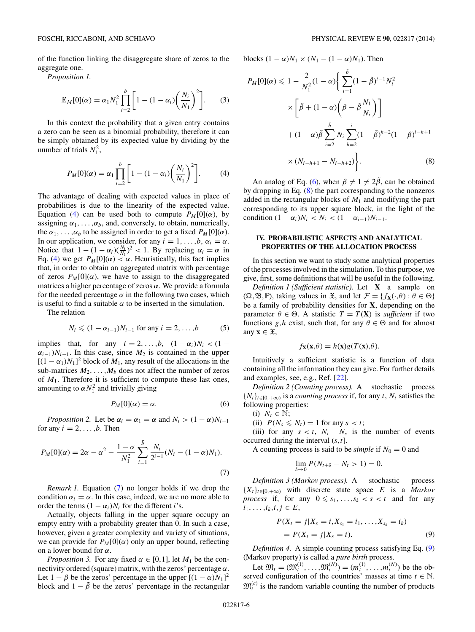<span id="page-5-0"></span>of the function linking the disaggregate share of zeros to the aggregate one.

*Proposition 1.*

$$
\mathbb{E}_M[0](\alpha) = \alpha_1 N_1^2 \prod_{i=2}^b \left[ 1 - (1 - \alpha_i) \left( \frac{N_i}{N_1} \right)^2 \right].
$$
 (3)

In this context the probability that a given entry contains a zero can be seen as a binomial probability, therefore it can be simply obtained by its expected value by dividing by the number of trials  $N_1^2$ ,

$$
P_M[0](\alpha) = \alpha_1 \prod_{i=2}^{b} \left[ 1 - (1 - \alpha_i) \left( \frac{N_i}{N_1} \right)^2 \right].
$$
 (4)

The advantage of dealing with expected values in place of probabilities is due to the linearity of the expected value. Equation (4) can be used both to compute  $P_M[0](\alpha)$ , by assigning  $\alpha_1, \ldots, \alpha_b$ , and, conversely, to obtain, numerically, the  $\alpha_1, \ldots, \alpha_b$  to be assigned in order to get a fixed  $P_M[0](\alpha)$ . In our application, we consider, for any  $i = 1, \ldots, b, \alpha_i = \alpha$ . Notice that  $1 - (1 - \alpha_i)(\frac{N_i}{N_1})^2 < 1$ . By replacing  $\alpha_i = \alpha$  in Eq. (4) we get  $P_M[0](\alpha) < \alpha$ . Heuristically, this fact implies that, in order to obtain an aggregated matrix with percentage of zeros  $P_M[0](\alpha)$ , we have to assign to the disaggregated matrices a higher percentage of zeros *α*. We provide a formula for the needed percentage  $\alpha$  in the following two cases, which is useful to find a suitable  $\alpha$  to be inserted in the simulation.

The relation

$$
N_i \le (1 - \alpha_{i-1})N_{i-1}
$$
 for any  $i = 2, ..., b$  (5)

implies that, for any  $i = 2, ..., b, (1 - \alpha_i)N_i < (1 \alpha_{i-1}$ )*N<sub>i−1</sub>*. In this case, since  $M_2$  is contained in the upper  $[(1 - \alpha_1)N_1]^2$  block of  $M_1$ , any result of the allocations in the sub-matrices  $M_2, \ldots, M_b$  does not affect the number of zeros of *M*1. Therefore it is sufficient to compute these last ones, amounting to  $\alpha N_1^2$  and trivially giving

$$
P_M[0](\alpha) = \alpha. \tag{6}
$$

*Proposition 2.* Let be  $\alpha_i = \alpha_1 = \alpha$  and  $N_i > (1 - \alpha)N_{i-1}$ for any  $i = 2, \ldots, b$ . Then

$$
P_M[0](\alpha) = 2\alpha - \alpha^2 - \frac{1 - \alpha}{N_1^2} \sum_{i=1}^{\bar{b}} \frac{N_i}{2^{i-1}} (N_i - (1 - \alpha)N_1).
$$
\n(7)

*Remark 1.* Equation (7) no longer holds if we drop the condition  $\alpha_i = \alpha$ . In this case, indeed, we are no more able to order the terms  $(1 - \alpha_i)N_i$  for the different *i*'s.

Actually, objects falling in the upper square occupy an empty entry with a probability greater than 0. In such a case, however, given a greater complexity and variety of situations, we can provide for  $P_M[0](\alpha)$  only an upper bound, reflecting on a lower bound for *α*.

*Proposition 3.* For any fixed  $\alpha \in [0,1]$ , let  $M_1$  be the connectivity ordered (square) matrix, with the zeros' percentage *α*. Let  $1 - \beta$  be the zeros' percentage in the upper  $[(1 - \alpha)N_1]^2$ block and  $1 - \tilde{\beta}$  be the zeros' percentage in the rectangular blocks  $(1 - \alpha)N_1 \times (N_1 - (1 - \alpha)N_1)$ . Then

$$
P_M[0](\alpha) \leq 1 - \frac{2}{N_1^2} (1 - \alpha) \left\{ \sum_{i=1}^{\bar{b}} (1 - \tilde{\beta})^{i-1} N_i^2 \times \left[ \tilde{\beta} + (1 - \alpha) \left( \beta - \tilde{\beta} \frac{N_1}{N_i} \right) \right] \right.+ (1 - \alpha) \tilde{\beta} \sum_{i=2}^{\bar{b}} N_i \sum_{h=2}^i (1 - \tilde{\beta})^{h-2} (1 - \beta)^{i-h+1} \times (N_{i-h+1} - N_{i-h+2}) \right\}.
$$
 (8)

An analog of Eq. (6), when  $\beta \neq 1 \neq 2\tilde{\beta}$ , can be obtained by dropping in Eq. (8) the part corresponding to the nonzeros added in the rectangular blocks of  $M_1$  and modifying the part corresponding to its upper square block, in the light of the condition  $(1 - \alpha_i)N_i < N_i < (1 - \alpha_{i-1})N_{i-1}$ .

# **IV. PROBABILISTIC ASPECTS AND ANALYTICAL PROPERTIES OF THE ALLOCATION PROCESS**

In this section we want to study some analytical properties of the processes involved in the simulation. To this purpose, we give, first, some definitions that will be useful in the following.

*Definition 1 (Sufficient statistic).* Let **X** a sample on  $(\Omega, \mathfrak{B}, \mathbb{P})$ , taking values in  $\mathfrak{X}$ , and let  $\mathcal{F} = \{f_{\mathbf{X}}(\cdot, \theta) : \theta \in \Theta\}$ be a family of probability densities for **X**, depending on the parameter  $\theta \in \Theta$ . A statistic  $T = T(\mathbf{X})$  is *sufficient* if two functions *g,h* exist, such that, for any  $\theta \in \Theta$  and for almost any  $\mathbf{x} \in \mathfrak{X}$ ,

$$
f_{\mathbf{X}}(\mathbf{x},\theta) = h(\mathbf{x})g(T(\mathbf{x}),\theta).
$$

Intuitively a sufficient statistic is a function of data containing all the information they can give. For further details and examples, see, e.g., Ref. [\[22\]](#page-11-0).

*Definition 2 (Counting process).* A stochastic process  ${N_t}_{t \in [0, +\infty)}$  is a *counting process* if, for any *t*,  $N_t$  satisfies the following properties:

(i)  $N_t \in \mathbb{N}$ ;

(ii)  $P(N_s \leq N_t) = 1$  for any  $s < t$ ;

(iii) for any  $s < t$ ,  $N_t - N_s$  is the number of events occurred during the interval (*s,t*].

A counting process is said to be *simple* if  $N_0 = 0$  and

$$
\lim_{\delta \to 0} P(N_{t+\delta} - N_t > 1) = 0.
$$

*Definition 3 (Markov process).* A stochastic process  ${X_t}_{t \in [0, +\infty)}$  with discrete state space *E* is a *Markov process* if, for any  $0 \leq s_1, \ldots, s_k < s < t$  and for any *i*<sub>1</sub>*, . . . , <i>i*<sub>*k*</sub>, *i*<sub></sub>, *j* ∈ *E*,

$$
P(Xt = j | Xs = i, Xs1 = i1, ..., Xsk = ik)
$$
  
=  $P(Xt = j | Xs = i).$  (9)

*Definition 4.* A simple counting process satisfying Eq. (9) (Markov property) is called a *pure birth* process.

Let  $\mathfrak{M}_t = (\mathfrak{M}_t^{(1)}, \dots, \mathfrak{M}_t^{(N)}) = (m_t^{(1)}, \dots, m_t^{(N)})$  be the observed configuration of the countries' masses at time  $t \in \mathbb{N}$ .  $\mathfrak{M}_t^{(c)}$  is the random variable counting the number of products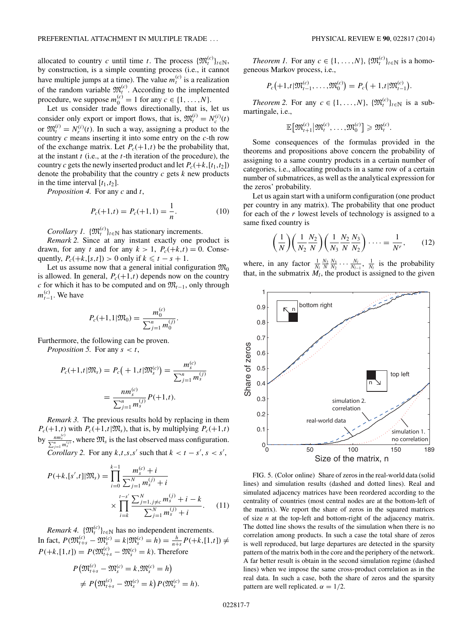<span id="page-6-0"></span>allocated to country *c* until time *t*. The process  $\{\mathfrak{M}_t^{(c)}\}_{t\in\mathbb{N}}$ , by construction, is a simple counting process (i.e., it cannot have multiple jumps at a time). The value  $m_t^{(c)}$  is a realization of the random variable  $\mathfrak{M}_t^{(c)}$ . According to the implemented procedure, we suppose  $m_0^{(c)} = 1$  for any  $c \in \{1, ..., N\}$ .

Let us consider trade flows directionally, that is, let us consider only export or import flows, that is,  $\mathfrak{M}_t^{(i)} = N_c^{(i)}(t)$ or  $\mathfrak{M}_t^{(i)} = N_r^{(i)}(t)$ . In such a way, assigning a product to the country *c* means inserting it into some entry on the *c*-th row of the exchange matrix. Let  $P_c(+1,t)$  be the probability that, at the instant *t* (i.e., at the *t*-th iteration of the procedure), the country *c* gets the newly inserted product and let  $P_c(+k,[t_1,t_2])$ denote the probability that the country *c* gets *k* new products in the time interval  $[t_1, t_2]$ .

*Proposition 4.* For any *c* and *t*,

$$
P_c(+1,t) = P_c(+1,1) = \frac{1}{n}.
$$
 (10)

*Corollary 1.*  $\{\mathfrak{M}^{(c)}_t\}_{t \in \mathbb{N}}$  has stationary increments.

*Remark 2.* Since at any instant exactly one product is drawn, for any *t* and for any  $k > 1$ ,  $P_c(+k,t) = 0$ . Consequently,  $P_c(+k, [s,t]) > 0$  only if  $k \leq t - s + 1$ .

Let us assume now that a general initial configuration  $\mathfrak{M}_0$ is allowed. In general,  $P_c(+1,t)$  depends now on the country *c* for which it has to be computed and on  $\mathfrak{M}_{t-1}$ , only through  $m_{t-1}^{(c)}$ . We have

$$
P_c(+1,1|\mathfrak{M}_0) = \frac{m_0^{(c)}}{\sum_{j=1}^n m_0^{(j)}}.
$$

Furthermore, the following can be proven.

*Proposition 5.* For any  $s < t$ ,

$$
P_c(+1,t|\mathfrak{M}_s) = P_c(+1,t|\mathfrak{M}_s^{(c)}) = \frac{m_s^{(c)}}{\sum_{j=1}^n m_s^{(j)}}
$$

$$
= \frac{n m_s^{(c)}}{\sum_{j=1}^n m_s^{(j)}} P(+1,t).
$$

*Remark 3.* The previous results hold by replacing in them  $P_c(+1,t)$  with  $P_c(+1,t|\mathfrak{M}_s)$ , that is, by multiplying  $P_c(+1,t)$ by  $\frac{nm_s^{(c)}}{\sum_{j=1}^n m_s^{(j)}}$ , where  $\mathfrak{M}_s$  is the last observed mass configuration.

*Corollary 2.* For any  $k, t, s, s'$  such that  $k < t - s'$ ,  $s < s'$ ,

$$
P(+k,[s',t]]\mathfrak{M}_s) = \prod_{i=0}^{k-1} \frac{m_s^{(c)} + i}{\sum_{j=1}^N m_s^{(j)} + i}
$$

$$
\times \prod_{i=k}^{t-s'} \frac{\sum_{j=1, j\neq c}^N m_s^{(j)} + i - k}{\sum_{j=1}^N m_s^{(j)} + i}.
$$
 (11)

*Remark 4.*  $\{\mathfrak{M}_t^{(c)}\}_{t\in\mathbb{N}}$  has no independent increments. In fact,  $P(\mathfrak{M}_{t+s}^{(c)} - \mathfrak{M}_s^{(c)} = k | \mathfrak{M}_s^{(c)} = h) = \frac{h}{n+s} P(+k,[1,t]) \neq$  $P(+k,[1,t]) = P(\mathfrak{M}_{t+s}^{(c)} - \mathfrak{M}_{s}^{(c)} = k)$ . Therefore

$$
P\left(\mathfrak{M}_{t+s}^{(c)} - \mathfrak{M}_s^{(c)} = k, \mathfrak{M}_s^{(c)} = h\right)
$$
  
\n
$$
\neq P\left(\mathfrak{M}_{t+s}^{(c)} - \mathfrak{M}_s^{(c)} = k\right)P(\mathfrak{M}_s^{(c)} = h).
$$

*Theorem 1.* For any  $c \in \{1, \ldots, N\}$ ,  $\{\mathfrak{M}_t^{(c)}\}_{t \in \mathbb{N}}$  is a homogeneous Markov process, i.e.,

$$
P_c(+1,t|\mathfrak{M}_{t-1}^{(c)},\ldots,\mathfrak{M}_{0}^{(c)})=P_c(+1,t|\mathfrak{M}_{t-1}^{(c)}).
$$

*Theorem 2.* For any  $c \in \{1, ..., N\}$ ,  $\{\mathfrak{M}_{t}^{(c)}\}_{t \in \mathbb{N}}$  is a submartingale, i.e.,

$$
\mathbb{E}\big[\mathfrak{M}_{t+1}^{(c)}\big|\mathfrak{M}_{t}^{(c)},\ldots,\mathfrak{M}_{0}^{(c)}\big]\geqslant \mathfrak{M}_{t}^{(c)}.
$$

Some consequences of the formulas provided in the theorems and propositions above concern the probability of assigning to a same country products in a certain number of categories, i.e., allocating products in a same row of a certain number of submatrices, as well as the analytical expression for the zeros' probability.

Let us again start with a uniform configuration (one product per country in any matrix). The probability that one product for each of the *r* lowest levels of technology is assigned to a same fixed country is

$$
\left(\frac{1}{N}\right)\left(\frac{1}{N_2}\frac{N_2}{N}\right)\left(\frac{1}{N_3}\frac{N_2}{N}\frac{N_3}{N_2}\right)\cdots = \frac{1}{N^r},\qquad(12)
$$

where, in any factor  $\frac{1}{N_l} \frac{N_2}{N} \frac{N_3}{N_2} \cdots \frac{N_l}{N_{l-1}}$ ,  $\frac{1}{N_l}$  is the probability that, in the submatrix  $M_l$ , the product is assigned to the given



FIG. 5. (Color online) Share of zeros in the real-world data (solid lines) and simulation results (dashed and dotted lines). Real and simulated adjacency matrices have been reordered according to the centrality of countries (most central nodes are at the bottom-left of the matrix). We report the share of zeros in the squared matrices of size *n* at the top-left and bottom-right of the adjacency matrix. The dotted line shows the results of the simulation when there is no correlation among products. In such a case the total share of zeros is well reproduced, but large departures are detected in the sparsity pattern of the matrix both in the core and the periphery of the network. A far better result is obtain in the second simulation regime (dashed lines) when we impose the same cross-product correlation as in the real data. In such a case, both the share of zeros and the sparsity pattern are well replicated.  $\alpha = 1/2$ .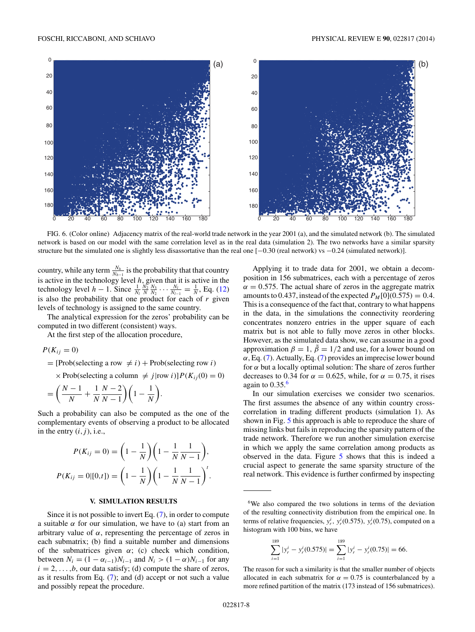<span id="page-7-0"></span>

FIG. 6. (Color online) Adjacency matrix of the real-world trade network in the year 2001 (a), and the simulated network (b). The simulated network is based on our model with the same correlation level as in the real data (simulation 2). The two networks have a similar sparsity structure but the simulated one is slightly less disassortative than the real one [−0.30 (real network) vs −0.24 (simulated network)].

country, while any term  $\frac{N_h}{N_{h-1}}$  is the probability that that country is active in the technology level *h*, given that it is active in the technology level *h* − 1. Since  $\frac{1}{N_l} \frac{N_2}{N} \frac{N_3}{N_2} \cdots \frac{N_l}{N_{l-1}} = \frac{1}{N}$ , Eq. [\(12\)](#page-6-0) is also the probability that one product for each of *r* given levels of technology is assigned to the same country.

The analytical expression for the zeros' probability can be computed in two different (consistent) ways.

At the first step of the allocation procedure,

 $P(K_{ij} = 0)$ 

 $=$  [Prob(selecting a row  $\neq i$ ) + Prob(selecting row *i*)

 $\times$  Prob(selecting a column  $\neq j$  |row *i*)]  $P(K_{ij}(0) = 0)$ 

$$
= \left(\frac{N-1}{N} + \frac{1}{N}\frac{N-2}{N-1}\right)\left(1 - \frac{1}{N}\right).
$$

Such a probability can also be computed as the one of the complementary events of observing a product to be allocated in the entry  $(i, j)$ , i.e.,

$$
P(K_{ij} = 0) = \left(1 - \frac{1}{N}\right)\left(1 - \frac{1}{N}\frac{1}{N - 1}\right),
$$
  

$$
P(K_{ij} = 0 | [0, t]) = \left(1 - \frac{1}{N}\right)\left(1 - \frac{1}{N}\frac{1}{N - 1}\right)^t.
$$

# **V. SIMULATION RESULTS**

Since it is not possible to invert Eq. [\(7\)](#page-5-0), in order to compute a suitable *α* for our simulation, we have to (a) start from an arbitrary value of  $\alpha$ , representing the percentage of zeros in each submatrix; (b) find a suitable number and dimensions of the submatrices given  $\alpha$ ; (c) check which condition, between *N<sub>i</sub>* =  $(1 − α<sub>i−1</sub>)N<sub>i−1</sub>$  and *N<sub>i</sub>* >  $(1 − α)N<sub>i−1</sub>$  for any  $i = 2, \ldots, b$ , our data satisfy; (d) compute the share of zeros, as it results from Eq.  $(7)$ ; and  $(d)$  accept or not such a value and possibly repeat the procedure.

Applying it to trade data for 2001, we obtain a decomposition in 156 submatrices, each with a percentage of zeros  $\alpha = 0.575$ . The actual share of zeros in the aggregate matrix amounts to 0.437, instead of the expected  $P_M[0](0.575) = 0.4$ . This is a consequence of the fact that, contrary to what happens in the data, in the simulations the connectivity reordering concentrates nonzero entries in the upper square of each matrix but is not able to fully move zeros in other blocks. However, as the simulated data show, we can assume in a good approximation  $\beta = 1$ ,  $\tilde{\beta} = 1/2$  and use, for a lower bound on *α*, Eq. [\(7\)](#page-5-0). Actually, Eq. [\(7\)](#page-5-0) provides an imprecise lower bound for *α* but a locally optimal solution: The share of zeros further decreases to 0.34 for  $\alpha = 0.625$ , while, for  $\alpha = 0.75$ , it rises again to 0*.*35.6

In our simulation exercises we consider two scenarios. The first assumes the absence of any within country crosscorrelation in trading different products (simulation 1). As shown in Fig. [5](#page-6-0) this approach is able to reproduce the share of missing links but fails in reproducing the sparsity pattern of the trade network. Therefore we run another simulation exercise in which we apply the same correlation among products as observed in the data. Figure [5](#page-6-0) shows that this is indeed a crucial aspect to generate the same sparsity structure of the real network. This evidence is further confirmed by inspecting

$$
\sum_{i=1}^{189} |y_r^i - y_r^i(0.575)| = \sum_{i=1}^{189} |y_r^i - y_r^i(0.75)| = 66.
$$

The reason for such a similarity is that the smaller number of objects allocated in each submatrix for  $\alpha = 0.75$  is counterbalanced by a more refined partition of the matrix (173 instead of 156 submatrices).

<sup>6</sup>We also compared the two solutions in terms of the deviation of the resulting connectivity distribution from the empirical one. In terms of relative frequencies,  $y_r^i$ ,  $y_r^i$ (0.575)*,*  $y_r^i$ (0.75)*,* computed on a histogram with 100 bins, we have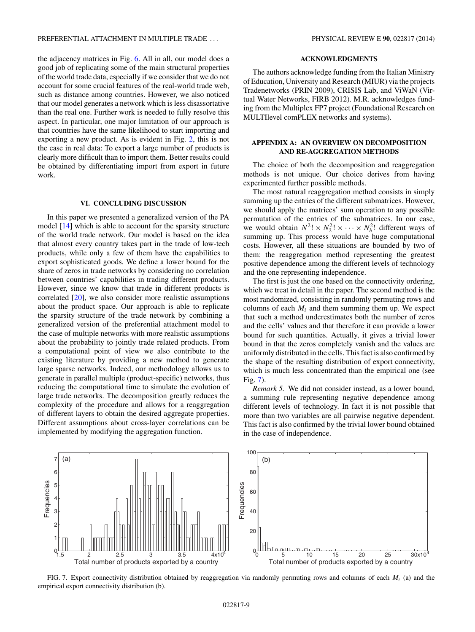<span id="page-8-0"></span>the adjacency matrices in Fig. [6.](#page-7-0) All in all, our model does a good job of replicating some of the main structural properties of the world trade data, especially if we consider that we do not account for some crucial features of the real-world trade web, such as distance among countries. However, we also noticed that our model generates a network which is less disassortative than the real one. Further work is needed to fully resolve this aspect. In particular, one major limitation of our approach is that countries have the same likelihood to start importing and exporting a new product. As is evident in Fig. [2,](#page-2-0) this is not the case in real data: To export a large number of products is clearly more difficult than to import them. Better results could be obtained by differentiating import from export in future work.

#### **VI. CONCLUDING DISCUSSION**

In this paper we presented a generalized version of the PA model [\[14\]](#page-11-0) which is able to account for the sparsity structure of the world trade network. Our model is based on the idea that almost every country takes part in the trade of low-tech products, while only a few of them have the capabilities to export sophisticated goods. We define a lower bound for the share of zeros in trade networks by considering no correlation between countries' capabilities in trading different products. However, since we know that trade in different products is correlated [\[20\]](#page-11-0), we also consider more realistic assumptions about the product space. Our approach is able to replicate the sparsity structure of the trade network by combining a generalized version of the preferential attachment model to the case of multiple networks with more realistic assumptions about the probability to jointly trade related products. From a computational point of view we also contribute to the existing literature by providing a new method to generate large sparse networks. Indeed, our methodology allows us to generate in parallel multiple (product-specific) networks, thus reducing the computational time to simulate the evolution of large trade networks. The decomposition greatly reduces the complexity of the procedure and allows for a reaggregation of different layers to obtain the desired aggregate properties. Different assumptions about cross-layer correlations can be implemented by modifying the aggregation function.

### **ACKNOWLEDGMENTS**

The authors acknowledge funding from the Italian Ministry of Education, University and Research (MIUR) via the projects Tradenetworks (PRIN 2009), CRISIS Lab, and ViWaN (Virtual Water Networks, FIRB 2012). M.R. acknowledges funding from the Multiplex FP7 project (Foundational Research on MULTIlevel comPLEX networks and systems).

# **APPENDIX A: AN OVERVIEW ON DECOMPOSITION AND RE-AGGREGATION METHODS**

The choice of both the decomposition and reaggregation methods is not unique. Our choice derives from having experimented further possible methods.

The most natural reaggregation method consists in simply summing up the entries of the different submatrices. However, we should apply the matrices' sum operation to any possible permutation of the entries of the submatrices. In our case, we would obtain  $N^2! \times N_2^2! \times \cdots \times N_b^2!$  different ways of summing up. This process would have huge computational costs. However, all these situations are bounded by two of them: the reaggregation method representing the greatest positive dependence among the different levels of technology and the one representing independence.

The first is just the one based on the connectivity ordering, which we treat in detail in the paper. The second method is the most randomized, consisting in randomly permuting rows and columns of each  $M_i$  and them summing them up. We expect that such a method underestimates both the number of zeros and the cells' values and that therefore it can provide a lower bound for such quantities. Actually, it gives a trivial lower bound in that the zeros completely vanish and the values are uniformly distributed in the cells. This fact is also confirmed by the shape of the resulting distribution of export connectivity, which is much less concentrated than the empirical one (see Fig. 7).

*Remark 5.* We did not consider instead, as a lower bound, a summing rule representing negative dependence among different levels of technology. In fact it is not possible that more than two variables are all pairwise negative dependent. This fact is also confirmed by the trivial lower bound obtained in the case of independence.



FIG. 7. Export connectivity distribution obtained by reaggregation via randomly permuting rows and columns of each *Mi* (a) and the empirical export connectivity distribution (b).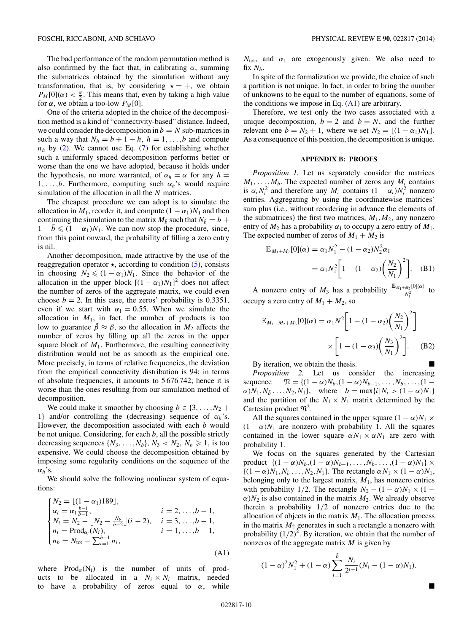The bad performance of the random permutation method is also confirmed by the fact that, in calibrating  $\alpha$ , summing the submatrices obtained by the simulation without any transformation, that is, by considering  $\star = +$ , we obtain  $P_M[0](\alpha) < \frac{\alpha}{2}$ . This means that, even by taking a high value for  $\alpha$ , we obtain a too-low  $P_M[0]$ .

One of the criteria adopted in the choice of the decomposition method is a kind of "connectivity-based" distance. Indeed, we could consider the decomposition in  $b = N$  sub-matrices in such a way that  $N_h = b + 1 - h$ ,  $h = 1, \ldots, b$  and compute *nh* by [\(2\)](#page-4-0). We cannot use Eq. [\(7\)](#page-5-0) for establishing whether such a uniformly spaced decomposition performs better or worse than the one we have adopted, because it holds under the hypothesis, no more warranted, of  $\alpha_h = \alpha$  for any  $h =$ 1*, . . . ,b.* Furthermore, computing such *αh*'s would require simulation of the allocation in all the *N* matrices.

The cheapest procedure we can adopt is to simulate the allocation in  $M_1$ , reorder it, and compute  $(1 - \alpha_1)N_1$  and then continuing the simulation to the matrix  $M_{\bar{b}}$  such that  $N_{\bar{b}} = b +$  $1 - \bar{b} \leqslant (1 - \alpha_1)N_1$ . We can now stop the procedure, since, from this point onward, the probability of filling a zero entry is nil.

Another decomposition, made attractive by the use of the reaggregation operator  $\star$ , according to condition [\(5\)](#page-5-0), consists in choosing  $N_2 \leq (1 - \alpha_1)N_1$ . Since the behavior of the allocation in the upper block  $[(1 - \alpha_1)N_1]^2$  does not affect the number of zeros of the aggregate matrix, we could even choose  $b = 2$ . In this case, the zeros' probability is 0.3351, even if we start with  $\alpha_1 = 0.55$ . When we simulate the allocation in  $M_1$ , in fact, the number of products is too low to guarantee  $\tilde{\beta} \approx \beta$ , so the allocation in  $M_2$  affects the number of zeros by filling up all the zeros in the upper square block of  $M_1$ . Furthermore, the resulting connectivity distribution would not be as smooth as the empirical one. More precisely, in terms of relative frequencies, the deviation from the empirical connectivity distribution is 94; in terms of absolute frequencies, it amounts to 5 676 742; hence it is worse than the ones resulting from our simulation method of decomposition.

We could make it smoother by choosing  $b \in \{3, \ldots, N_2 + \}$ 1} and/or controlling the (decreasing) sequence of *αh*'s. However, the decomposition associated with each *b* would be not unique. Considering, for each *b*, all the possible strictly decreasing sequences  $\{N_3, \ldots, N_b\}, N_3 < N_2, N_b \geq 1$ , is too expensive. We could choose the decomposition obtained by imposing some regularity conditions on the sequence of the *αh*'s.

We should solve the following nonlinear system of equations:

$$
\begin{cases}\nN_2 = \lfloor (1 - \alpha_1) 189 \rfloor, & i = 2, ..., b - 1, \\
\alpha_i = \alpha_1 \frac{b - i}{b - 1}, & i = 2, ..., b - 1, \\
N_i = N_2 - \lfloor N_2 - \frac{N_b}{b - 2} \rfloor (i - 2), & i = 3, ..., b - 1, \\
n_i = \text{Prod}_{\alpha_i}(N_i), & i = 1, ..., b - 1, \\
n_b = N_{\text{tot}} - \sum_{i=1}^{b-1} n_i,\n\end{cases}
$$
\n(A1)

where  $Prod_{\alpha}(N_i)$  is the number of units of products to be allocated in a  $N_i \times N_i$  matrix, needed to have a probability of zeros equal to  $\alpha$ , while

 $N_{\text{tot}}$ , and  $\alpha_1$  are exogenously given. We also need to fix  $N_b$ .

In spite of the formalization we provide, the choice of such a partition is not unique. In fact, in order to bring the number of unknowns to be equal to the number of equations, some of the conditions we impose in Eq.  $(A1)$  are arbitrary.

Therefore, we test only the two cases associated with a unique decomposition,  $b = 2$  and  $b = N$ , and the further relevant one  $b = N_2 + 1$ , where we set  $N_2 = [(1 - \alpha_1)N_1]$ . As a consequence of this position, the decomposition is unique.

#### **APPENDIX B: PROOFS**

*Proposition 1.* Let us separately consider the matrices  $M_1, \ldots, M_b$ . The expected number of zeros any  $M_i$  contains is  $\alpha_i N_i^2$  and therefore any  $M_i$  contains  $(1 - \alpha_i) N_i^2$  nonzero entries. Aggregating by using the coordinatewise matrices' sum plus (i.e., without reordering in advance the elements of the submatrices) the first two matrices,  $M_1, M_2$ , any nonzero entry of  $M_2$  has a probability  $\alpha_1$  to occupy a zero entry of  $M_1$ . The expected number of zeros of  $M_1 + M_2$  is

$$
\mathbb{E}_{M_1+M_2}[0](\alpha) = \alpha_1 N_1^2 - (1 - \alpha_2)N_2^2 \alpha_1
$$
  
=  $\alpha_1 N_1^2 \bigg[ 1 - (1 - \alpha_2) \bigg( \frac{N_2}{N_1} \bigg)^2 \bigg].$  (B1)

A nonzero entry of  $M_3$  has a probability  $\frac{\mathbb{E}_{M_1 + M_2}[0](\alpha)}{N_1^2}$  to occupy a zero entry of  $M_1 + M_2$ , so

$$
\mathbb{E}_{M_1 + M_2 + M_3}[0](\alpha) = \alpha_1 N_1^2 \left[ 1 - (1 - \alpha_2) \left( \frac{N_2}{N_1} \right)^2 \right] \times \left[ 1 - (1 - \alpha_3) \left( \frac{N_3}{N_1} \right)^2 \right].
$$
 (B2)

By iteration, we obtain the thesis.

*Proposition 2.* Let us consider the increasing sequence  $\mathfrak{N} = \{ (1 - \alpha)N_b, (1 - \alpha)N_{b-1}, \dots, N_b, \dots, (1 - \alpha)\}$  $\alpha$ )*N*<sub>1</sub>*,N*<sub> $\bar{b}$ </sub> . . . *,N*<sub>2</sub>*,N*<sub>1</sub>}, where  $\bar{b}$  = max{*i*|*N<sub>i</sub>* > (1 –  $\alpha$ )*N*<sub>1</sub>} and the partition of the  $N_1 \times N_1$  matrix determined by the Cartesian product  $\mathfrak{N}^2$ .

All the squares contained in the upper square  $(1 - \alpha)N_1 \times$  $(1 - \alpha)N_1$  are nonzero with probability 1. All the squares contained in the lower square  $\alpha N_1 \times \alpha N_1$  are zero with probability 1.

We focus on the squares generated by the Cartesian product  $\{(1 - \alpha)N_b, (1 - \alpha)N_{b-1}, \ldots, N_b, \ldots, (1 - \alpha)N_1\} \times$  $\{(1 - \alpha)N_1, N_{\bar{b}}, \ldots, N_2, N_1\}$ . The rectangle  $\alpha N_1 \times (1 - \alpha)N_1$ , belonging only to the largest matrix,  $M_1$ , has nonzero entries with probability 1/2. The rectangle  $N_2 - (1 - \alpha)N_1 \times (1 - \alpha)N_2$  $\alpha$ ) $N_2$  is also contained in the matrix  $M_2$ . We already observe therein a probability 1*/*2 of nonzero entries due to the allocation of objects in the matrix  $M_1$ . The allocation process in the matrix  $M_2$  generates in such a rectangle a nonzero with probability  $(1/2)^2$ . By iteration, we obtain that the number of nonzeros of the aggregate matrix *M* is given by

$$
(1-\alpha)^2 N_1^2 + (1-\alpha) \sum_{i=1}^{\bar{b}} \frac{N_i}{2^{i-1}} (N_i - (1-\alpha)N_1).
$$

щ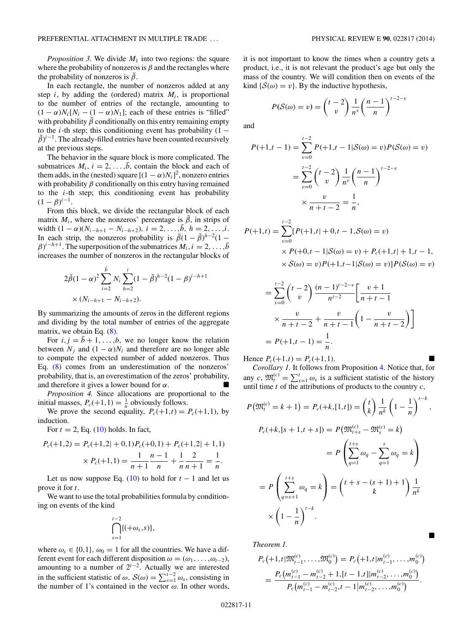*Proposition 3.* We divide  $M_1$  into two regions: the square where the probability of nonzeros is  $\beta$  and the rectangles where the probability of nonzeros is  $\tilde{\beta}$ .

In each rectangle, the number of nonzeros added at any step  $i$ , by adding the (ordered) matrix  $M_i$ , is proportional to the number of entries of the rectangle, amounting to  $(1 - \alpha)N_i[N_i - (1 - \alpha)N_1]$ ; each of these entries is "filled" with probability  $\tilde{\beta}$  conditionally on this entry remaining empty to the *i*-th step; this conditioning event has probability  $(1 \tilde{\beta}$ )<sup>*i*−1</sup>. The already-filled entries have been counted recursively at the previous steps.

The behavior in the square block is more complicated. The submatrices  $M_i$ ,  $i = 2, \ldots, \bar{b}$ , contain the block and each of them adds, in the (nested) square  $[(1 - \alpha)N_i]^2$ , nonzero entries with probability  $\beta$  conditionally on this entry having remained to the *i*-th step; this conditioning event has probability  $(1 - \beta)^{i-1}$ .

From this block, we divide the rectangular block of each matrix  $M_i$ , where the nonzeros' percentage is  $\tilde{\beta}$ , in strips of  $\text{width } (1 - \alpha)(N_{i-h+1} - N_{i-h+2}), i = 2, \ldots, \bar{b}, h = 2, \ldots, i.$ In each strip, the nonzeros probability is  $\tilde{\beta}(1 - \tilde{\beta})^{h-2}(1 - \tilde{\beta})$  $\beta$ )<sup>*i*−*h*+1</sup>. The superposition of the submatrices  $M_i$ ,  $i = 2, \ldots, \bar{b}$ increases the number of nonzeros in the rectangular blocks of

$$
2\tilde{\beta}(1-\alpha)^2 \sum_{i=2}^{\bar{b}} N_i \sum_{h=2}^i (1-\tilde{\beta})^{h-2} (1-\beta)^{i-h+1}
$$
  
×  $(N_{i-h+1} - N_{i-h+2}).$ 

By summarizing the amounts of zeros in the different regions and dividing by the total number of entries of the aggregate matrix, we obtain Eq.  $(8)$ .

For  $i, j = \overline{b} + 1, \ldots, b$ , we no longer know the relation between  $N_i$  and  $(1 - \alpha)N_i$  and therefore are no longer able to compute the expected number of added nonzeros. Thus Eq. [\(8\)](#page-5-0) comes from an underestimation of the nonzeros' probability, that is, an overestimation of the zeros' probability, and therefore it gives a lower bound for *α*.

*Proposition 4.* Since allocations are proportional to the initial masses,  $P_c(+1,1) = \frac{1}{n}$  obviously follows.

We prove the second equality,  $P_c(+1,t) = P_c(+1,1)$ , by induction.

For  $t = 2$ , Eq.  $(10)$  holds. In fact,

$$
P_c(+1,2) = P_c(+1,2|+0,1)P_c(+0,1) + P_c(+1,2|+1,1)
$$

$$
\times P_c(+1,1) = \frac{1}{n+1} \frac{n-1}{n} + \frac{1}{n} \frac{2}{n+1} = \frac{1}{n}.
$$

Let us now suppose Eq. [\(10\)](#page-6-0) to hold for  $t - 1$  and let us prove it for *t*.

We want to use the total probabilities formula by conditioning on events of the kind

$$
\bigcap_{s=1}^{t-2} \{ (+\omega_s, s) \},\
$$

where  $\omega_s \in \{0,1\}$ ,  $\omega_0 = 1$  for all the countries. We have a different event for each different disposition  $\omega = (\omega_1, \dots, \omega_{t-2}),$ amounting to a number of  $2^{t-2}$ . Actually we are interested in the sufficient statistic of  $\omega$ ,  $S(\omega) = \sum_{s=1}^{t-2} \omega_s$ , consisting in the number of 1's contained in the vector *ω*. In other words,

it is not important to know the times when a country gets a product, i.e., it is not relevant the product's age but only the mass of the country. We will condition then on events of the kind  $\{\mathcal{S}(\omega) = v\}$ . By the inductive hypothesis,

$$
P(S(\omega) = v) = {t-2 \choose v} \frac{1}{n^v} \left(\frac{n-1}{n}\right)^{t-2-v}
$$

and

$$
P(+1,t-1) = \sum_{v=0}^{t-2} P(+1,t-1|\mathcal{S}(\omega) = v) P(\mathcal{S}(\omega) = v)
$$
  

$$
= \sum_{v=0}^{t-2} {t-2 \choose v} \frac{1}{n^v} \left(\frac{n-1}{n}\right)^{t-2-v}
$$
  

$$
\times \frac{v}{n+t-2} = \frac{1}{n},
$$
  

$$
P(+1,t) = \sum_{v=0}^{t-2} [P(+1,t|+0,t-1,\mathcal{S}(\omega) = v)
$$
  

$$
\times P(+0,t-1|\mathcal{S}(\omega) = v) + P_c(+1,t|+1,t-1,
$$
  

$$
\times \mathcal{S}(\omega) = v) P(+1,t-1|\mathcal{S}(\omega) = v)] P(\mathcal{S}(\omega) = v)
$$

$$
= \sum_{v=0}^{t-2} {t-2 \choose v} \frac{(n-1)^{t-2-v}}{n^{t-2}} \left[ \frac{v+1}{n+t-1} \times \frac{v}{n+t-2} + \frac{v}{n+t-1} \left(1 - \frac{v}{n+t-2}\right) \right]
$$
  
= P(+1,t-1) =  $\frac{1}{n}$ .

Hence  $P_c(+1,t) = P_c(+1,1)$ .

*Corollary 1.* It follows from Proposition [4.](#page-6-0) Notice that, for any *c*,  $\mathfrak{M}_t^{(c)} = \sum_{s=1}^t \omega_s$  is a sufficient statistic of the history until time  $t$  of the attributions of products to the country  $c$ ,

$$
P(\mathfrak{M}_{t}^{(c)} = k + 1) = P_{c}(+k, [1, t]) = {t \choose k} \frac{1}{n^{k}} \left(1 - \frac{1}{n}\right)^{t-k},
$$
  

$$
P_{c}(+k, [s + 1, t + s]) = P(\mathfrak{M}_{t+s}^{(c)} - \mathfrak{M}_{s}^{(c)} = k)
$$
  

$$
= P\left(\sum_{q=1}^{t+s} \omega_{q} - \sum_{q=1}^{s} \omega_{q} = k\right)
$$
  

$$
= P\left(\sum_{q=s+1}^{t+s} \omega_{q} = k\right) = {t + s - (s + 1) + 1 \choose k} \frac{1}{n^{k}}
$$
  

$$
\times \left(1 - \frac{1}{n}\right)^{t-k}.
$$

*Theorem 1.*

$$
P_c(+1,t|\mathfrak{M}_{t-1}^{(c)},\ldots,\mathfrak{M}_0^{(c)}) = P_c(+1,t|m_{t-1}^{(c)},\ldots,m_0^{(c)})
$$
  
= 
$$
\frac{P_c(m_{t-1}^{(c)}-m_{t-2}^{(c)}+1,[t-1,t]|m_{t-2}^{(c)},\ldots,m_0^{(c)})}{P_c(m_{t-1}^{(c)}-m_{t-2}^{(c)},t-1|m_{t-2}^{(c)},\ldots,m_0^{(c)})}.
$$

 $\blacksquare$